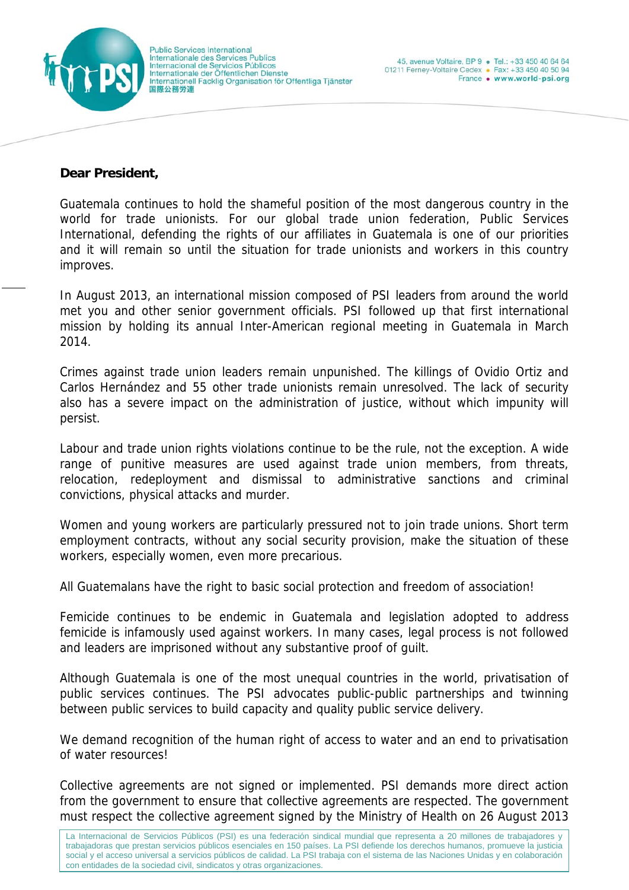

## **Dear President,**

Guatemala continues to hold the shameful position of the most dangerous country in the world for trade unionists. For our global trade union federation, Public Services International, defending the rights of our affiliates in Guatemala is one of our priorities and it will remain so until the situation for trade unionists and workers in this country improves.

In August 2013, an international mission composed of PSI leaders from around the world met you and other senior government officials. PSI followed up that first international mission by holding its annual Inter-American regional meeting in Guatemala in March 2014.

Crimes against trade union leaders remain unpunished. The killings of Ovidio Ortiz and Carlos Hernández and 55 other trade unionists remain unresolved. The lack of security also has a severe impact on the administration of justice, without which impunity will persist.

Labour and trade union rights violations continue to be the rule, not the exception. A wide range of punitive measures are used against trade union members, from threats, relocation, redeployment and dismissal to administrative sanctions and criminal convictions, physical attacks and murder.

Women and young workers are particularly pressured not to join trade unions. Short term employment contracts, without any social security provision, make the situation of these workers, especially women, even more precarious.

All Guatemalans have the right to basic social protection and freedom of association!

Femicide continues to be endemic in Guatemala and legislation adopted to address femicide is infamously used against workers. In many cases, legal process is not followed and leaders are imprisoned without any substantive proof of guilt.

Although Guatemala is one of the most unequal countries in the world, privatisation of public services continues. The PSI advocates public-public partnerships and twinning between public services to build capacity and quality public service delivery.

We demand recognition of the human right of access to water and an end to privatisation of water resources!

Collective agreements are not signed or implemented. PSI demands more direct action from the government to ensure that collective agreements are respected. The government must respect the collective agreement signed by the Ministry of Health on 26 August 2013